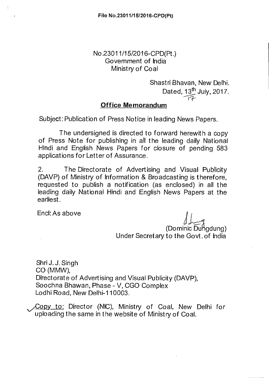## No 23011/15/2016-CPD(Pt.) Government of India Ministry of Coal

Shastri Bhavan, New Delhi. Dated,  $13<sup>th</sup>$  July, 2017. ir?-•

## **Office Memorandum**

Subject: Publication of Press Notice in leading News Papers.

The undersigned is directed to forward herewith a copy of Press Note for publishing in all the leading daily National Hindi and English News Papers for closure of pending 583 applications for Letter of Assurance.

2. The Directorate of Advertising and Visual Publicity (DAVP) of Ministry of Information & Broadcasting is therefore, requested to publish a notification (as enclosed) in all the leading daily National Hindi and English News Papers at the earliest.

Encl: As above

(Dominic Dungdung) Under Secretary to the Govt. of India

Shri J. J. Singh CO (MMW), Directorate of Advertising and Visual Publicity (DAVP), Soochna Bhawan, Phase - V, CGO Complex Lodhi Road, New Delhi-110003.

Copy to: Director (NIC), Ministry of Coal, New Delhi for uploading the same in the website of Ministry of Coal.